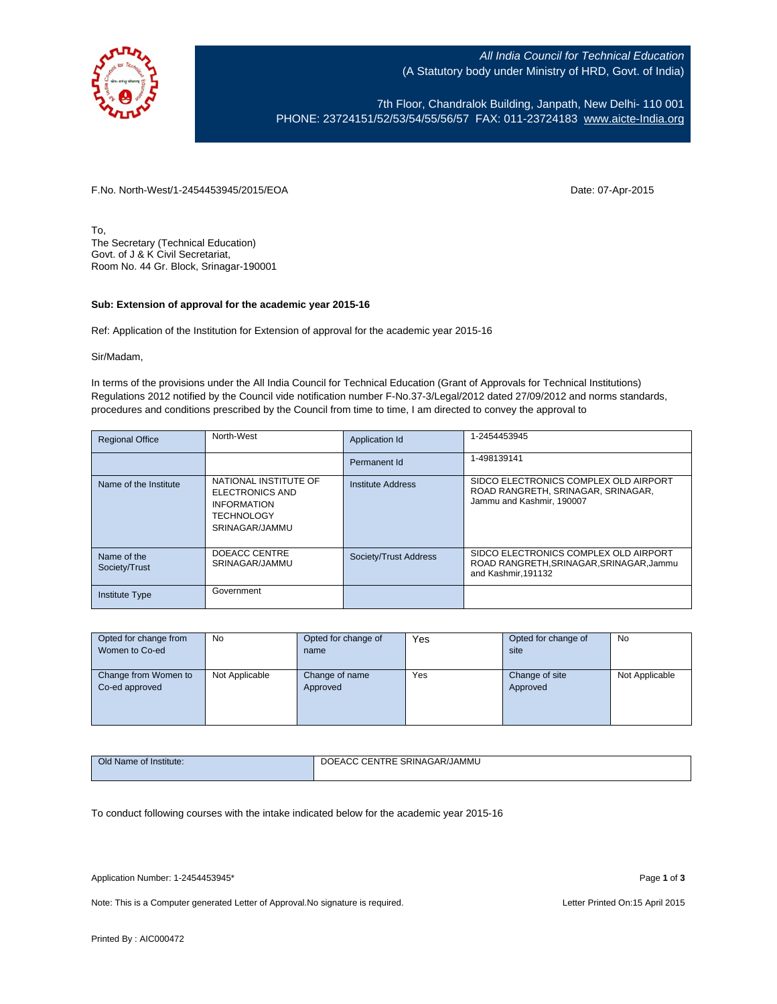

All India Council for Technical Education (A Statutory body under Ministry of HRD, Govt. of India)

7th Floor, Chandralok Building, Janpath, New Delhi- 110 001 PHONE: 23724151/52/53/54/55/56/57 FAX: 011-23724183 [www.aicte-India.org](http://www.aicte-india.org/)

F.No. North-West/1-2454453945/2015/EOA Date: 07-Apr-2015

To, The Secretary (Technical Education) Govt. of J & K Civil Secretariat, Room No. 44 Gr. Block, Srinagar-190001

## **Sub: Extension of approval for the academic year 2015-16**

Ref: Application of the Institution for Extension of approval for the academic year 2015-16

Sir/Madam,

In terms of the provisions under the All India Council for Technical Education (Grant of Approvals for Technical Institutions) Regulations 2012 notified by the Council vide notification number F-No.37-3/Legal/2012 dated 27/09/2012 and norms standards, procedures and conditions prescribed by the Council from time to time, I am directed to convey the approval to

| <b>Regional Office</b>       | North-West                                                                                            | Application Id           | 1-2454453945                                                                                             |
|------------------------------|-------------------------------------------------------------------------------------------------------|--------------------------|----------------------------------------------------------------------------------------------------------|
|                              |                                                                                                       | Permanent Id             | 1-498139141                                                                                              |
| Name of the Institute        | NATIONAL INSTITUTE OF<br>ELECTRONICS AND<br><b>INFORMATION</b><br><b>TECHNOLOGY</b><br>SRINAGAR/JAMMU | <b>Institute Address</b> | SIDCO ELECTRONICS COMPLEX OLD AIRPORT<br>ROAD RANGRETH, SRINAGAR, SRINAGAR,<br>Jammu and Kashmir, 190007 |
| Name of the<br>Society/Trust | DOEACC CENTRE<br>SRINAGAR/JAMMU                                                                       | Society/Trust Address    | SIDCO ELECTRONICS COMPLEX OLD AIRPORT<br>ROAD RANGRETH, SRINAGAR, SRINAGAR, Jammu<br>and Kashmir.191132  |
| <b>Institute Type</b>        | Government                                                                                            |                          |                                                                                                          |

| Opted for change from | <b>No</b>      | Opted for change of | Yes | Opted for change of | No             |
|-----------------------|----------------|---------------------|-----|---------------------|----------------|
| Women to Co-ed        |                | name                |     | site                |                |
|                       |                |                     |     |                     |                |
| Change from Women to  | Not Applicable | Change of name      | Yes | Change of site      | Not Applicable |
| Co-ed approved        |                | Approved            |     | Approved            |                |
|                       |                |                     |     |                     |                |
|                       |                |                     |     |                     |                |
|                       |                |                     |     |                     |                |

| Old Name of Institute: | : SRINAGAR/JAMMU<br><b>CENTRE</b><br><b>DOEACC</b> |  |  |  |  |
|------------------------|----------------------------------------------------|--|--|--|--|
|                        |                                                    |  |  |  |  |

To conduct following courses with the intake indicated below for the academic year 2015-16

Application Number: 1-2454453945\* Page **1** of **3**

Note: This is a Computer generated Letter of Approval. No signature is required. Letter Printed On:15 April 2015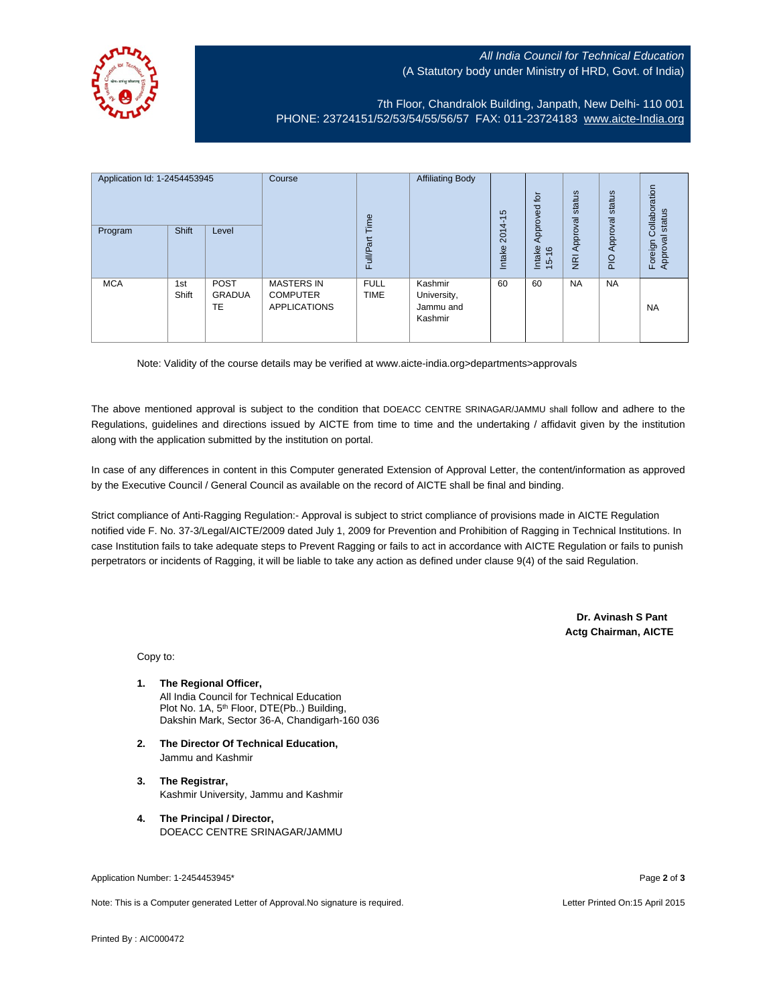## All India Council for Technical Education (A Statutory body under Ministry of HRD, Govt. of India)



7th Floor, Chandralok Building, Janpath, New Delhi- 110 001 PHONE: 23724151/52/53/54/55/56/57 FAX: 011-23724183 [www.aicte-India.org](http://www.aicte-india.org/)

| Application Id: 1-2454453945<br><b>Shift</b><br>Program<br>Level |              | Course<br>Time              | <b>Affiliating Body</b>                                     | S<br>$\overline{\phantom{0}}$<br>2014 | $\overline{5}$<br>g<br>Approve                 | status<br>Approval | status<br>Approval                       | Collaboration<br>status<br>त्त |           |                           |
|------------------------------------------------------------------|--------------|-----------------------------|-------------------------------------------------------------|---------------------------------------|------------------------------------------------|--------------------|------------------------------------------|--------------------------------|-----------|---------------------------|
|                                                                  |              |                             |                                                             | <b>Full/Part</b>                      |                                                | Intake             | Intake<br>$\frac{6}{2}$<br>$\frac{1}{2}$ | $\overline{g}$                 | PIO       | Foreign<br><b>Approva</b> |
| <b>MCA</b>                                                       | 1st<br>Shift | <b>POST</b><br>GRADUA<br>TE | <b>MASTERS IN</b><br><b>COMPUTER</b><br><b>APPLICATIONS</b> | <b>FULL</b><br><b>TIME</b>            | Kashmir<br>University,<br>Jammu and<br>Kashmir | 60                 | 60                                       | <b>NA</b>                      | <b>NA</b> | <b>NA</b>                 |

Note: Validity of the course details may be verified at www.aicte-india.org>departments>approvals

The above mentioned approval is subject to the condition that DOEACC CENTRE SRINAGAR/JAMMU shall follow and adhere to the Regulations, guidelines and directions issued by AICTE from time to time and the undertaking / affidavit given by the institution along with the application submitted by the institution on portal.

In case of any differences in content in this Computer generated Extension of Approval Letter, the content/information as approved by the Executive Council / General Council as available on the record of AICTE shall be final and binding.

Strict compliance of Anti-Ragging Regulation:- Approval is subject to strict compliance of provisions made in AICTE Regulation notified vide F. No. 37-3/Legal/AICTE/2009 dated July 1, 2009 for Prevention and Prohibition of Ragging in Technical Institutions. In case Institution fails to take adequate steps to Prevent Ragging or fails to act in accordance with AICTE Regulation or fails to punish perpetrators or incidents of Ragging, it will be liable to take any action as defined under clause 9(4) of the said Regulation.

> **Dr. Avinash S Pant Actg Chairman, AICTE**

Copy to:

- **1. The Regional Officer,** All India Council for Technical Education Plot No. 1A, 5<sup>th</sup> Floor, DTE(Pb..) Building, Dakshin Mark, Sector 36-A, Chandigarh-160 036
- **2. The Director Of Technical Education,** Jammu and Kashmir
- **3. The Registrar,** Kashmir University, Jammu and Kashmir
- **4. The Principal / Director,** DOEACC CENTRE SRINAGAR/JAMMU

Application Number: 1-2454453945\* Page **2** of **3**

Note: This is a Computer generated Letter of Approval.No signature is required. Letter According the state of the Letter Printed On:15 April 2015